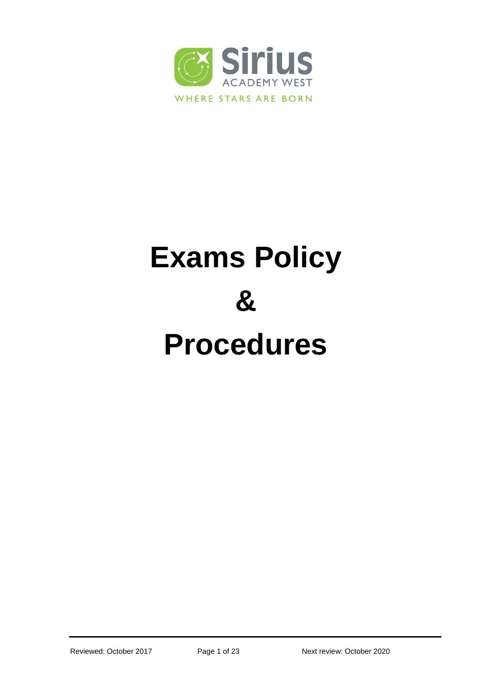

# **Exams Policy & Procedures**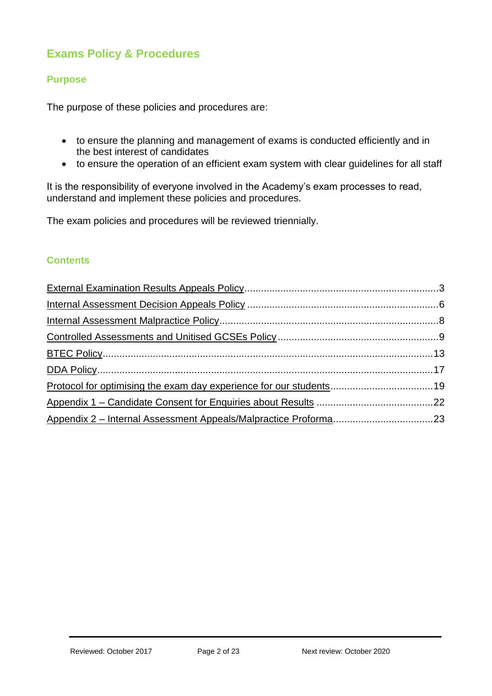# **Exams Policy & Procedures**

# **Purpose**

The purpose of these policies and procedures are:

- to ensure the planning and management of exams is conducted efficiently and in the best interest of candidates
- to ensure the operation of an efficient exam system with clear guidelines for all staff

It is the responsibility of everyone involved in the Academy's exam processes to read, understand and implement these policies and procedures.

The exam policies and procedures will be reviewed triennially.

# **Contents**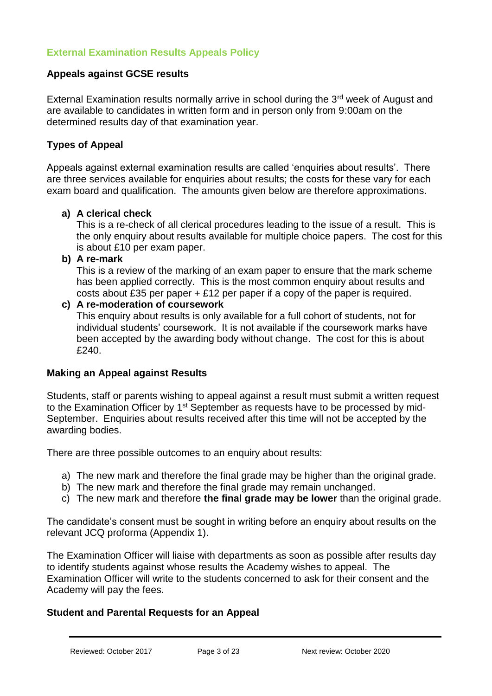# <span id="page-2-0"></span>**Appeals against GCSE results**

External Examination results normally arrive in school during the 3<sup>rd</sup> week of August and are available to candidates in written form and in person only from 9:00am on the determined results day of that examination year.

# **Types of Appeal**

Appeals against external examination results are called 'enquiries about results'. There are three services available for enquiries about results; the costs for these vary for each exam board and qualification. The amounts given below are therefore approximations.

# **a) A clerical check**

This is a re-check of all clerical procedures leading to the issue of a result. This is the only enquiry about results available for multiple choice papers. The cost for this is about £10 per exam paper.

**b) A re-mark**

This is a review of the marking of an exam paper to ensure that the mark scheme has been applied correctly. This is the most common enquiry about results and costs about £35 per paper  $+$  £12 per paper if a copy of the paper is required.

#### **c) A re-moderation of coursework**

This enquiry about results is only available for a full cohort of students, not for individual students' coursework. It is not available if the coursework marks have been accepted by the awarding body without change. The cost for this is about £240.

# **Making an Appeal against Results**

Students, staff or parents wishing to appeal against a result must submit a written request to the Examination Officer by 1<sup>st</sup> September as requests have to be processed by mid-September. Enquiries about results received after this time will not be accepted by the awarding bodies.

There are three possible outcomes to an enquiry about results:

- a) The new mark and therefore the final grade may be higher than the original grade.
- b) The new mark and therefore the final grade may remain unchanged.
- c) The new mark and therefore **the final grade may be lower** than the original grade.

The candidate's consent must be sought in writing before an enquiry about results on the relevant JCQ proforma (Appendix 1).

The Examination Officer will liaise with departments as soon as possible after results day to identify students against whose results the Academy wishes to appeal. The Examination Officer will write to the students concerned to ask for their consent and the Academy will pay the fees.

# **Student and Parental Requests for an Appeal**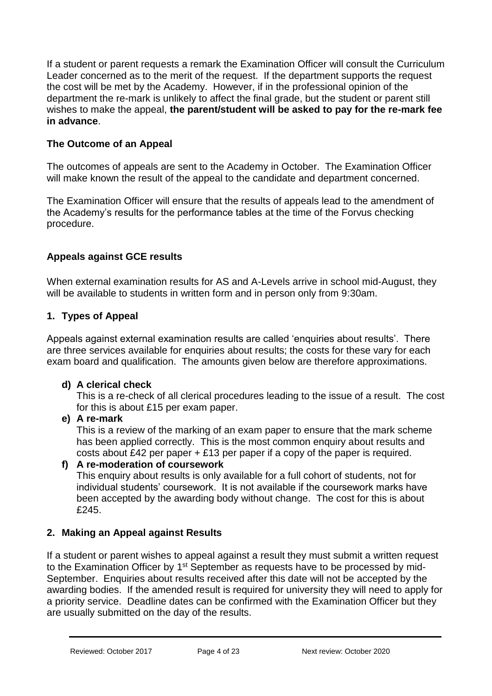If a student or parent requests a remark the Examination Officer will consult the Curriculum Leader concerned as to the merit of the request. If the department supports the request the cost will be met by the Academy. However, if in the professional opinion of the department the re-mark is unlikely to affect the final grade, but the student or parent still wishes to make the appeal, **the parent/student will be asked to pay for the re-mark fee in advance**.

# **The Outcome of an Appeal**

The outcomes of appeals are sent to the Academy in October. The Examination Officer will make known the result of the appeal to the candidate and department concerned.

The Examination Officer will ensure that the results of appeals lead to the amendment of the Academy's results for the performance tables at the time of the Forvus checking procedure.

# **Appeals against GCE results**

When external examination results for AS and A-Levels arrive in school mid-August, they will be available to students in written form and in person only from 9:30am.

# **1. Types of Appeal**

Appeals against external examination results are called 'enquiries about results'. There are three services available for enquiries about results; the costs for these vary for each exam board and qualification. The amounts given below are therefore approximations.

# **d) A clerical check**

This is a re-check of all clerical procedures leading to the issue of a result. The cost for this is about £15 per exam paper.

**e) A re-mark**

This is a review of the marking of an exam paper to ensure that the mark scheme has been applied correctly. This is the most common enquiry about results and costs about £42 per paper + £13 per paper if a copy of the paper is required.

# **f) A re-moderation of coursework**

This enquiry about results is only available for a full cohort of students, not for individual students' coursework. It is not available if the coursework marks have been accepted by the awarding body without change. The cost for this is about £245.

# **2. Making an Appeal against Results**

If a student or parent wishes to appeal against a result they must submit a written request to the Examination Officer by 1<sup>st</sup> September as requests have to be processed by mid-September. Enquiries about results received after this date will not be accepted by the awarding bodies. If the amended result is required for university they will need to apply for a priority service. Deadline dates can be confirmed with the Examination Officer but they are usually submitted on the day of the results.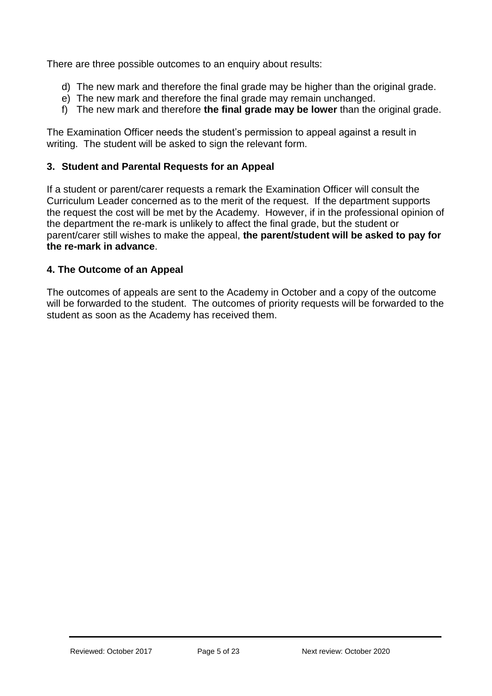There are three possible outcomes to an enquiry about results:

- d) The new mark and therefore the final grade may be higher than the original grade.
- e) The new mark and therefore the final grade may remain unchanged.
- f) The new mark and therefore **the final grade may be lower** than the original grade.

The Examination Officer needs the student's permission to appeal against a result in writing. The student will be asked to sign the relevant form.

# **3. Student and Parental Requests for an Appeal**

If a student or parent/carer requests a remark the Examination Officer will consult the Curriculum Leader concerned as to the merit of the request. If the department supports the request the cost will be met by the Academy. However, if in the professional opinion of the department the re-mark is unlikely to affect the final grade, but the student or parent/carer still wishes to make the appeal, **the parent/student will be asked to pay for the re-mark in advance**.

## **4. The Outcome of an Appeal**

The outcomes of appeals are sent to the Academy in October and a copy of the outcome will be forwarded to the student. The outcomes of priority requests will be forwarded to the student as soon as the Academy has received them.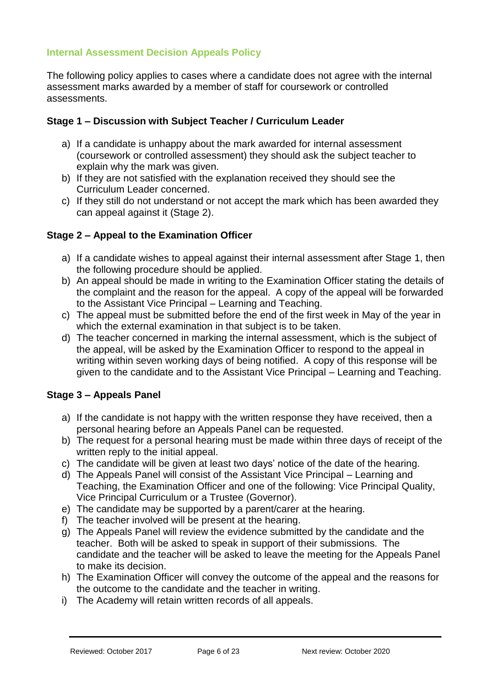# <span id="page-5-0"></span>**Internal Assessment Decision Appeals Policy**

The following policy applies to cases where a candidate does not agree with the internal assessment marks awarded by a member of staff for coursework or controlled assessments.

# **Stage 1 – Discussion with Subject Teacher / Curriculum Leader**

- a) If a candidate is unhappy about the mark awarded for internal assessment (coursework or controlled assessment) they should ask the subject teacher to explain why the mark was given.
- b) If they are not satisfied with the explanation received they should see the Curriculum Leader concerned.
- c) If they still do not understand or not accept the mark which has been awarded they can appeal against it (Stage 2).

## **Stage 2 – Appeal to the Examination Officer**

- a) If a candidate wishes to appeal against their internal assessment after Stage 1, then the following procedure should be applied.
- b) An appeal should be made in writing to the Examination Officer stating the details of the complaint and the reason for the appeal. A copy of the appeal will be forwarded to the Assistant Vice Principal – Learning and Teaching.
- c) The appeal must be submitted before the end of the first week in May of the year in which the external examination in that subject is to be taken.
- d) The teacher concerned in marking the internal assessment, which is the subject of the appeal, will be asked by the Examination Officer to respond to the appeal in writing within seven working days of being notified. A copy of this response will be given to the candidate and to the Assistant Vice Principal – Learning and Teaching.

# **Stage 3 – Appeals Panel**

- a) If the candidate is not happy with the written response they have received, then a personal hearing before an Appeals Panel can be requested.
- b) The request for a personal hearing must be made within three days of receipt of the written reply to the initial appeal.
- c) The candidate will be given at least two days' notice of the date of the hearing.
- d) The Appeals Panel will consist of the Assistant Vice Principal Learning and Teaching, the Examination Officer and one of the following: Vice Principal Quality, Vice Principal Curriculum or a Trustee (Governor).
- e) The candidate may be supported by a parent/carer at the hearing.
- f) The teacher involved will be present at the hearing.
- g) The Appeals Panel will review the evidence submitted by the candidate and the teacher. Both will be asked to speak in support of their submissions. The candidate and the teacher will be asked to leave the meeting for the Appeals Panel to make its decision.
- h) The Examination Officer will convey the outcome of the appeal and the reasons for the outcome to the candidate and the teacher in writing.
- i) The Academy will retain written records of all appeals.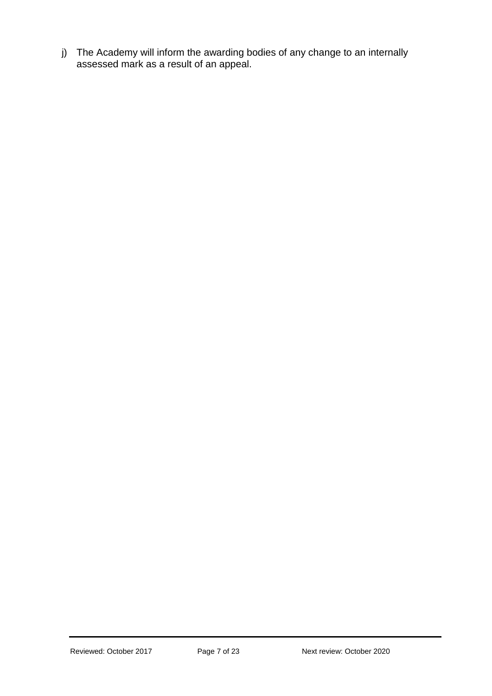j) The Academy will inform the awarding bodies of any change to an internally assessed mark as a result of an appeal.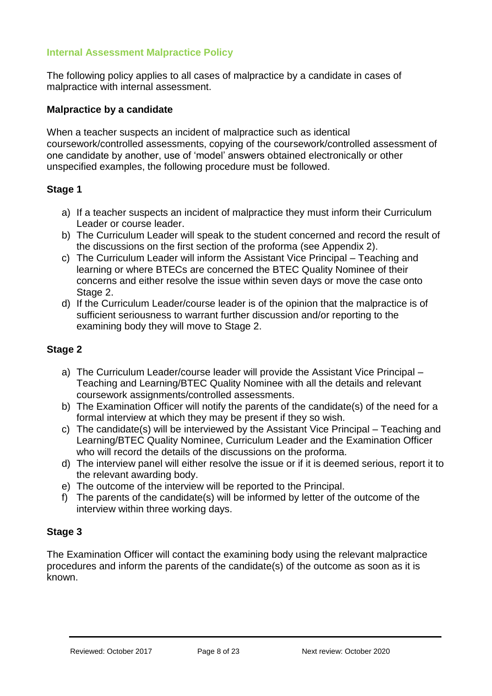# <span id="page-7-0"></span>**Internal Assessment Malpractice Policy**

The following policy applies to all cases of malpractice by a candidate in cases of malpractice with internal assessment.

## **Malpractice by a candidate**

When a teacher suspects an incident of malpractice such as identical coursework/controlled assessments, copying of the coursework/controlled assessment of one candidate by another, use of 'model' answers obtained electronically or other unspecified examples, the following procedure must be followed.

## **Stage 1**

- a) If a teacher suspects an incident of malpractice they must inform their Curriculum Leader or course leader.
- b) The Curriculum Leader will speak to the student concerned and record the result of the discussions on the first section of the proforma (see Appendix 2).
- c) The Curriculum Leader will inform the Assistant Vice Principal Teaching and learning or where BTECs are concerned the BTEC Quality Nominee of their concerns and either resolve the issue within seven days or move the case onto Stage 2.
- d) If the Curriculum Leader/course leader is of the opinion that the malpractice is of sufficient seriousness to warrant further discussion and/or reporting to the examining body they will move to Stage 2.

#### **Stage 2**

- a) The Curriculum Leader/course leader will provide the Assistant Vice Principal Teaching and Learning/BTEC Quality Nominee with all the details and relevant coursework assignments/controlled assessments.
- b) The Examination Officer will notify the parents of the candidate(s) of the need for a formal interview at which they may be present if they so wish.
- c) The candidate(s) will be interviewed by the Assistant Vice Principal Teaching and Learning/BTEC Quality Nominee, Curriculum Leader and the Examination Officer who will record the details of the discussions on the proforma.
- d) The interview panel will either resolve the issue or if it is deemed serious, report it to the relevant awarding body.
- e) The outcome of the interview will be reported to the Principal.
- f) The parents of the candidate(s) will be informed by letter of the outcome of the interview within three working days.

## **Stage 3**

The Examination Officer will contact the examining body using the relevant malpractice procedures and inform the parents of the candidate(s) of the outcome as soon as it is known.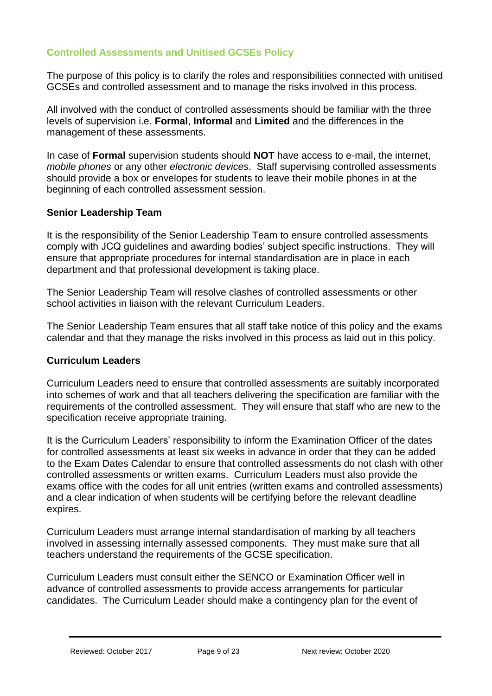# <span id="page-8-0"></span>**Controlled Assessments and Unitised GCSEs Policy**

The purpose of this policy is to clarify the roles and responsibilities connected with unitised GCSEs and controlled assessment and to manage the risks involved in this process.

All involved with the conduct of controlled assessments should be familiar with the three levels of supervision i.e. **Formal**, **Informal** and **Limited** and the differences in the management of these assessments.

In case of **Formal** supervision students should **NOT** have access to e-mail, the internet, *mobile phones* or any other *electronic devices*. Staff supervising controlled assessments should provide a box or envelopes for students to leave their mobile phones in at the beginning of each controlled assessment session.

# **Senior Leadership Team**

It is the responsibility of the Senior Leadership Team to ensure controlled assessments comply with JCQ guidelines and awarding bodies' subject specific instructions. They will ensure that appropriate procedures for internal standardisation are in place in each department and that professional development is taking place.

The Senior Leadership Team will resolve clashes of controlled assessments or other school activities in liaison with the relevant Curriculum Leaders.

The Senior Leadership Team ensures that all staff take notice of this policy and the exams calendar and that they manage the risks involved in this process as laid out in this policy.

## **Curriculum Leaders**

Curriculum Leaders need to ensure that controlled assessments are suitably incorporated into schemes of work and that all teachers delivering the specification are familiar with the requirements of the controlled assessment. They will ensure that staff who are new to the specification receive appropriate training.

It is the Curriculum Leaders' responsibility to inform the Examination Officer of the dates for controlled assessments at least six weeks in advance in order that they can be added to the Exam Dates Calendar to ensure that controlled assessments do not clash with other controlled assessments or written exams. Curriculum Leaders must also provide the exams office with the codes for all unit entries (written exams and controlled assessments) and a clear indication of when students will be certifying before the relevant deadline expires.

Curriculum Leaders must arrange internal standardisation of marking by all teachers involved in assessing internally assessed components. They must make sure that all teachers understand the requirements of the GCSE specification.

Curriculum Leaders must consult either the SENCO or Examination Officer well in advance of controlled assessments to provide access arrangements for particular candidates. The Curriculum Leader should make a contingency plan for the event of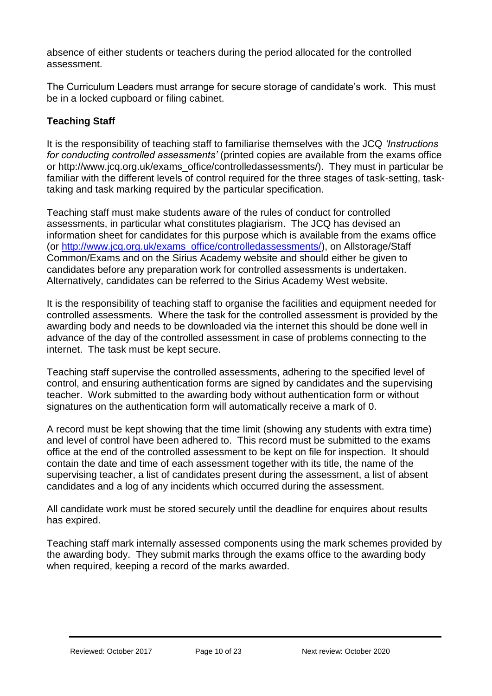absence of either students or teachers during the period allocated for the controlled assessment.

The Curriculum Leaders must arrange for secure storage of candidate's work. This must be in a locked cupboard or filing cabinet.

# **Teaching Staff**

It is the responsibility of teaching staff to familiarise themselves with the JCQ *'Instructions for conducting controlled assessments'* (printed copies are available from the exams office or http://www.jcq.org.uk/exams\_office/controlledassessments/). They must in particular be familiar with the different levels of control required for the three stages of task-setting, tasktaking and task marking required by the particular specification.

Teaching staff must make students aware of the rules of conduct for controlled assessments, in particular what constitutes plagiarism. The JCQ has devised an information sheet for candidates for this purpose which is available from the exams office (or [http://www.jcq.org.uk/exams\\_office/controlledassessments/\)](http://www.jcq.org.uk/exams_office/controlledassessments/), on Allstorage/Staff Common/Exams and on the Sirius Academy website and should either be given to candidates before any preparation work for controlled assessments is undertaken. Alternatively, candidates can be referred to the Sirius Academy West website.

It is the responsibility of teaching staff to organise the facilities and equipment needed for controlled assessments. Where the task for the controlled assessment is provided by the awarding body and needs to be downloaded via the internet this should be done well in advance of the day of the controlled assessment in case of problems connecting to the internet. The task must be kept secure.

Teaching staff supervise the controlled assessments, adhering to the specified level of control, and ensuring authentication forms are signed by candidates and the supervising teacher. Work submitted to the awarding body without authentication form or without signatures on the authentication form will automatically receive a mark of 0.

A record must be kept showing that the time limit (showing any students with extra time) and level of control have been adhered to. This record must be submitted to the exams office at the end of the controlled assessment to be kept on file for inspection. It should contain the date and time of each assessment together with its title, the name of the supervising teacher, a list of candidates present during the assessment, a list of absent candidates and a log of any incidents which occurred during the assessment.

All candidate work must be stored securely until the deadline for enquires about results has expired.

Teaching staff mark internally assessed components using the mark schemes provided by the awarding body. They submit marks through the exams office to the awarding body when required, keeping a record of the marks awarded.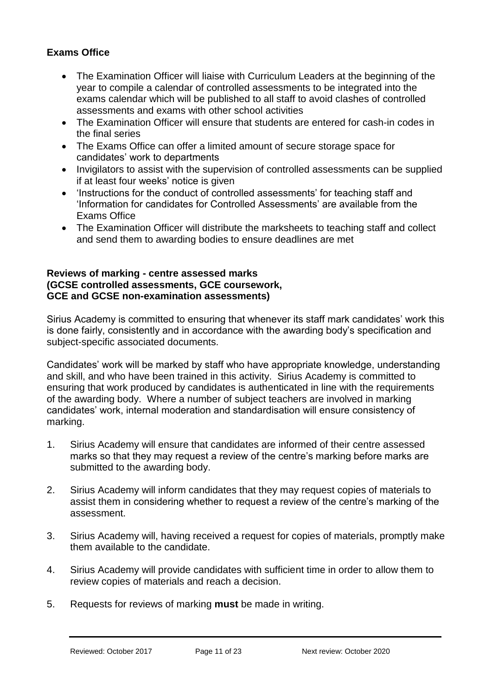# **Exams Office**

- The Examination Officer will liaise with Curriculum Leaders at the beginning of the year to compile a calendar of controlled assessments to be integrated into the exams calendar which will be published to all staff to avoid clashes of controlled assessments and exams with other school activities
- The Examination Officer will ensure that students are entered for cash-in codes in the final series
- The Exams Office can offer a limited amount of secure storage space for candidates' work to departments
- Invigilators to assist with the supervision of controlled assessments can be supplied if at least four weeks' notice is given
- 'Instructions for the conduct of controlled assessments' for teaching staff and 'Information for candidates for Controlled Assessments' are available from the Exams Office
- The Examination Officer will distribute the marksheets to teaching staff and collect and send them to awarding bodies to ensure deadlines are met

#### **Reviews of marking - centre assessed marks (GCSE controlled assessments, GCE coursework, GCE and GCSE non-examination assessments)**

Sirius Academy is committed to ensuring that whenever its staff mark candidates' work this is done fairly, consistently and in accordance with the awarding body's specification and subject-specific associated documents.

Candidates' work will be marked by staff who have appropriate knowledge, understanding and skill, and who have been trained in this activity. Sirius Academy is committed to ensuring that work produced by candidates is authenticated in line with the requirements of the awarding body. Where a number of subject teachers are involved in marking candidates' work, internal moderation and standardisation will ensure consistency of marking.

- 1. Sirius Academy will ensure that candidates are informed of their centre assessed marks so that they may request a review of the centre's marking before marks are submitted to the awarding body.
- 2. Sirius Academy will inform candidates that they may request copies of materials to assist them in considering whether to request a review of the centre's marking of the assessment.
- 3. Sirius Academy will, having received a request for copies of materials, promptly make them available to the candidate.
- 4. Sirius Academy will provide candidates with sufficient time in order to allow them to review copies of materials and reach a decision.
- 5. Requests for reviews of marking **must** be made in writing.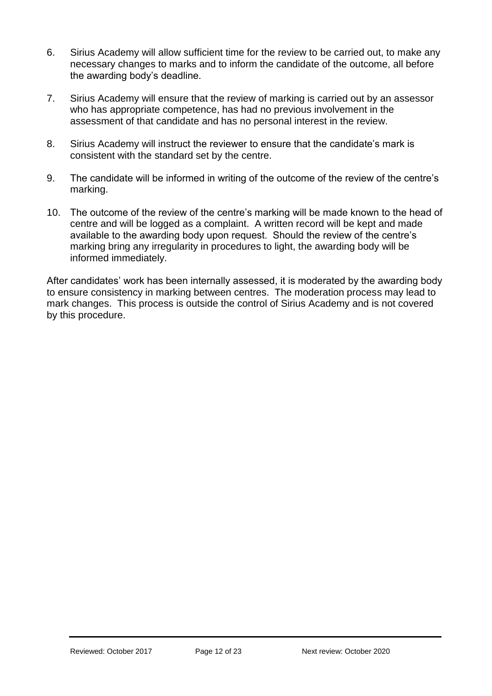- 6. Sirius Academy will allow sufficient time for the review to be carried out, to make any necessary changes to marks and to inform the candidate of the outcome, all before the awarding body's deadline.
- 7. Sirius Academy will ensure that the review of marking is carried out by an assessor who has appropriate competence, has had no previous involvement in the assessment of that candidate and has no personal interest in the review.
- 8. Sirius Academy will instruct the reviewer to ensure that the candidate's mark is consistent with the standard set by the centre.
- 9. The candidate will be informed in writing of the outcome of the review of the centre's marking.
- 10. The outcome of the review of the centre's marking will be made known to the head of centre and will be logged as a complaint. A written record will be kept and made available to the awarding body upon request. Should the review of the centre's marking bring any irregularity in procedures to light, the awarding body will be informed immediately.

After candidates' work has been internally assessed, it is moderated by the awarding body to ensure consistency in marking between centres. The moderation process may lead to mark changes. This process is outside the control of Sirius Academy and is not covered by this procedure.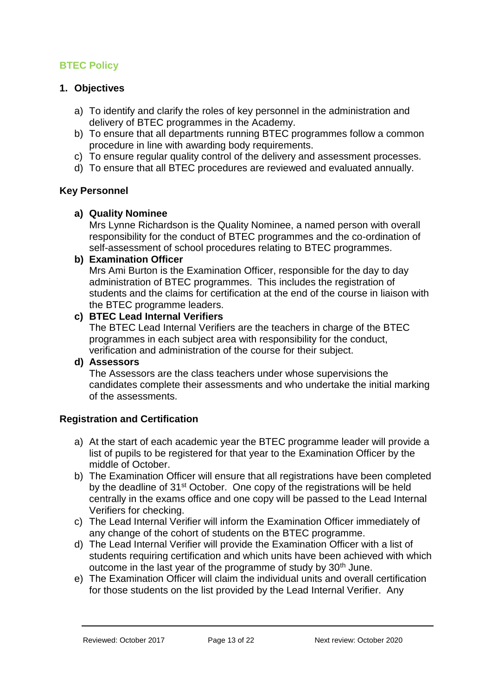# <span id="page-12-0"></span>**BTEC Policy**

# **1. Objectives**

- a) To identify and clarify the roles of key personnel in the administration and delivery of BTEC programmes in the Academy.
- b) To ensure that all departments running BTEC programmes follow a common procedure in line with awarding body requirements.
- c) To ensure regular quality control of the delivery and assessment processes.
- d) To ensure that all BTEC procedures are reviewed and evaluated annually.

# **Key Personnel**

## **a) Quality Nominee**

Mrs Lynne Richardson is the Quality Nominee, a named person with overall responsibility for the conduct of BTEC programmes and the co-ordination of self-assessment of school procedures relating to BTEC programmes.

## **b) Examination Officer**

Mrs Ami Burton is the Examination Officer, responsible for the day to day administration of BTEC programmes. This includes the registration of students and the claims for certification at the end of the course in liaison with the BTEC programme leaders.

## **c) BTEC Lead Internal Verifiers**

The BTEC Lead Internal Verifiers are the teachers in charge of the BTEC programmes in each subject area with responsibility for the conduct, verification and administration of the course for their subject.

## **d) Assessors**

The Assessors are the class teachers under whose supervisions the candidates complete their assessments and who undertake the initial marking of the assessments.

## **Registration and Certification**

- a) At the start of each academic year the BTEC programme leader will provide a list of pupils to be registered for that year to the Examination Officer by the middle of October.
- b) The Examination Officer will ensure that all registrations have been completed by the deadline of 31<sup>st</sup> October. One copy of the registrations will be held centrally in the exams office and one copy will be passed to the Lead Internal Verifiers for checking.
- c) The Lead Internal Verifier will inform the Examination Officer immediately of any change of the cohort of students on the BTEC programme.
- d) The Lead Internal Verifier will provide the Examination Officer with a list of students requiring certification and which units have been achieved with which outcome in the last year of the programme of study by 30<sup>th</sup> June.
- e) The Examination Officer will claim the individual units and overall certification for those students on the list provided by the Lead Internal Verifier. Any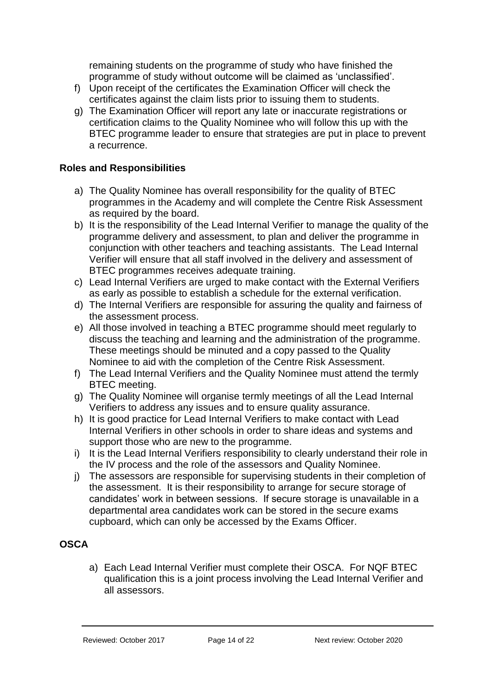remaining students on the programme of study who have finished the programme of study without outcome will be claimed as 'unclassified'.

- f) Upon receipt of the certificates the Examination Officer will check the certificates against the claim lists prior to issuing them to students.
- g) The Examination Officer will report any late or inaccurate registrations or certification claims to the Quality Nominee who will follow this up with the BTEC programme leader to ensure that strategies are put in place to prevent a recurrence.

# **Roles and Responsibilities**

- a) The Quality Nominee has overall responsibility for the quality of BTEC programmes in the Academy and will complete the Centre Risk Assessment as required by the board.
- b) It is the responsibility of the Lead Internal Verifier to manage the quality of the programme delivery and assessment, to plan and deliver the programme in conjunction with other teachers and teaching assistants. The Lead Internal Verifier will ensure that all staff involved in the delivery and assessment of BTEC programmes receives adequate training.
- c) Lead Internal Verifiers are urged to make contact with the External Verifiers as early as possible to establish a schedule for the external verification.
- d) The Internal Verifiers are responsible for assuring the quality and fairness of the assessment process.
- e) All those involved in teaching a BTEC programme should meet regularly to discuss the teaching and learning and the administration of the programme. These meetings should be minuted and a copy passed to the Quality Nominee to aid with the completion of the Centre Risk Assessment.
- f) The Lead Internal Verifiers and the Quality Nominee must attend the termly BTEC meeting.
- g) The Quality Nominee will organise termly meetings of all the Lead Internal Verifiers to address any issues and to ensure quality assurance.
- h) It is good practice for Lead Internal Verifiers to make contact with Lead Internal Verifiers in other schools in order to share ideas and systems and support those who are new to the programme.
- i) It is the Lead Internal Verifiers responsibility to clearly understand their role in the IV process and the role of the assessors and Quality Nominee.
- j) The assessors are responsible for supervising students in their completion of the assessment. It is their responsibility to arrange for secure storage of candidates' work in between sessions. If secure storage is unavailable in a departmental area candidates work can be stored in the secure exams cupboard, which can only be accessed by the Exams Officer.

## **OSCA**

a) Each Lead Internal Verifier must complete their OSCA. For NQF BTEC qualification this is a joint process involving the Lead Internal Verifier and all assessors.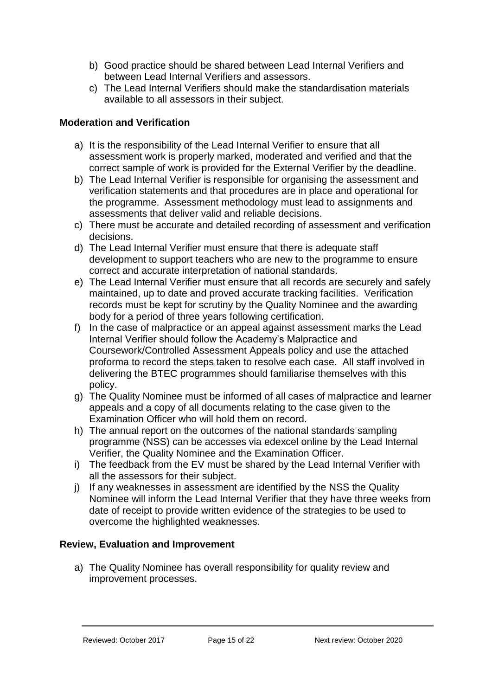- b) Good practice should be shared between Lead Internal Verifiers and between Lead Internal Verifiers and assessors.
- c) The Lead Internal Verifiers should make the standardisation materials available to all assessors in their subject.

# **Moderation and Verification**

- a) It is the responsibility of the Lead Internal Verifier to ensure that all assessment work is properly marked, moderated and verified and that the correct sample of work is provided for the External Verifier by the deadline.
- b) The Lead Internal Verifier is responsible for organising the assessment and verification statements and that procedures are in place and operational for the programme. Assessment methodology must lead to assignments and assessments that deliver valid and reliable decisions.
- c) There must be accurate and detailed recording of assessment and verification decisions.
- d) The Lead Internal Verifier must ensure that there is adequate staff development to support teachers who are new to the programme to ensure correct and accurate interpretation of national standards.
- e) The Lead Internal Verifier must ensure that all records are securely and safely maintained, up to date and proved accurate tracking facilities. Verification records must be kept for scrutiny by the Quality Nominee and the awarding body for a period of three years following certification.
- f) In the case of malpractice or an appeal against assessment marks the Lead Internal Verifier should follow the Academy's Malpractice and Coursework/Controlled Assessment Appeals policy and use the attached proforma to record the steps taken to resolve each case. All staff involved in delivering the BTEC programmes should familiarise themselves with this policy.
- g) The Quality Nominee must be informed of all cases of malpractice and learner appeals and a copy of all documents relating to the case given to the Examination Officer who will hold them on record.
- h) The annual report on the outcomes of the national standards sampling programme (NSS) can be accesses via edexcel online by the Lead Internal Verifier, the Quality Nominee and the Examination Officer.
- i) The feedback from the EV must be shared by the Lead Internal Verifier with all the assessors for their subject.
- j) If any weaknesses in assessment are identified by the NSS the Quality Nominee will inform the Lead Internal Verifier that they have three weeks from date of receipt to provide written evidence of the strategies to be used to overcome the highlighted weaknesses.

# **Review, Evaluation and Improvement**

a) The Quality Nominee has overall responsibility for quality review and improvement processes.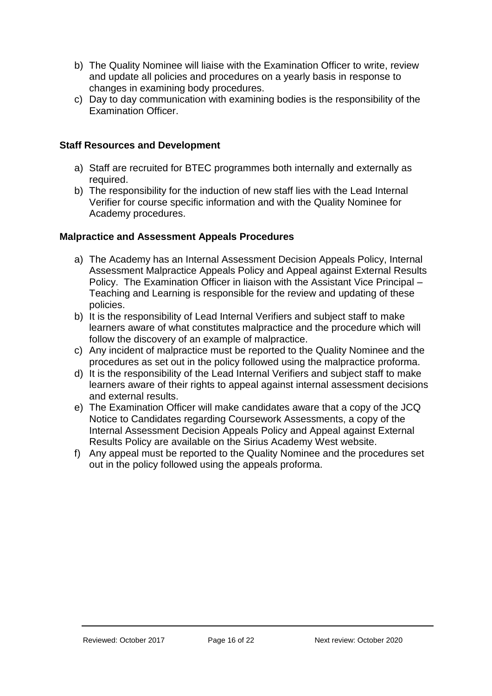- b) The Quality Nominee will liaise with the Examination Officer to write, review and update all policies and procedures on a yearly basis in response to changes in examining body procedures.
- c) Day to day communication with examining bodies is the responsibility of the Examination Officer.

# **Staff Resources and Development**

- a) Staff are recruited for BTEC programmes both internally and externally as required.
- b) The responsibility for the induction of new staff lies with the Lead Internal Verifier for course specific information and with the Quality Nominee for Academy procedures.

# **Malpractice and Assessment Appeals Procedures**

- a) The Academy has an Internal Assessment Decision Appeals Policy, Internal Assessment Malpractice Appeals Policy and Appeal against External Results Policy. The Examination Officer in liaison with the Assistant Vice Principal – Teaching and Learning is responsible for the review and updating of these policies.
- b) It is the responsibility of Lead Internal Verifiers and subject staff to make learners aware of what constitutes malpractice and the procedure which will follow the discovery of an example of malpractice.
- c) Any incident of malpractice must be reported to the Quality Nominee and the procedures as set out in the policy followed using the malpractice proforma.
- d) It is the responsibility of the Lead Internal Verifiers and subject staff to make learners aware of their rights to appeal against internal assessment decisions and external results.
- e) The Examination Officer will make candidates aware that a copy of the JCQ Notice to Candidates regarding Coursework Assessments, a copy of the Internal Assessment Decision Appeals Policy and Appeal against External Results Policy are available on the Sirius Academy West website.
- f) Any appeal must be reported to the Quality Nominee and the procedures set out in the policy followed using the appeals proforma.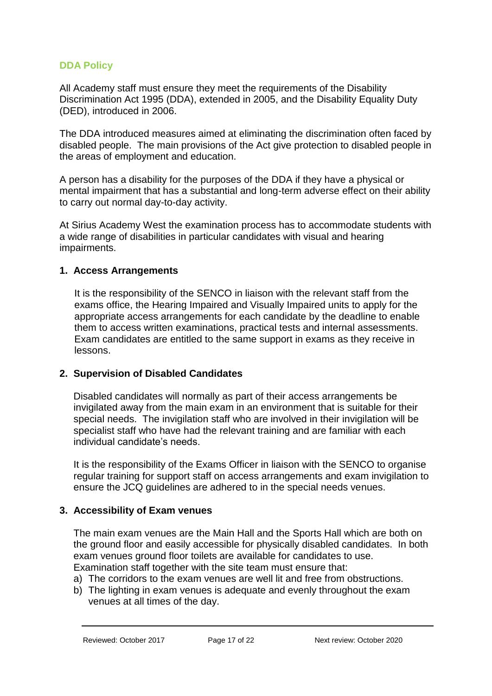## <span id="page-16-0"></span>**DDA Policy**

All Academy staff must ensure they meet the requirements of the Disability Discrimination Act 1995 (DDA), extended in 2005, and the Disability Equality Duty (DED), introduced in 2006.

The DDA introduced measures aimed at eliminating the discrimination often faced by disabled people. The main provisions of the Act give protection to disabled people in the areas of employment and education.

A person has a disability for the purposes of the DDA if they have a physical or mental impairment that has a substantial and long-term adverse effect on their ability to carry out normal day-to-day activity.

At Sirius Academy West the examination process has to accommodate students with a wide range of disabilities in particular candidates with visual and hearing impairments.

## **1. Access Arrangements**

It is the responsibility of the SENCO in liaison with the relevant staff from the exams office, the Hearing Impaired and Visually Impaired units to apply for the appropriate access arrangements for each candidate by the deadline to enable them to access written examinations, practical tests and internal assessments. Exam candidates are entitled to the same support in exams as they receive in lessons.

## **2. Supervision of Disabled Candidates**

Disabled candidates will normally as part of their access arrangements be invigilated away from the main exam in an environment that is suitable for their special needs. The invigilation staff who are involved in their invigilation will be specialist staff who have had the relevant training and are familiar with each individual candidate's needs.

It is the responsibility of the Exams Officer in liaison with the SENCO to organise regular training for support staff on access arrangements and exam invigilation to ensure the JCQ guidelines are adhered to in the special needs venues.

## **3. Accessibility of Exam venues**

The main exam venues are the Main Hall and the Sports Hall which are both on the ground floor and easily accessible for physically disabled candidates. In both exam venues ground floor toilets are available for candidates to use. Examination staff together with the site team must ensure that:

a) The corridors to the exam venues are well lit and free from obstructions.

b) The lighting in exam venues is adequate and evenly throughout the exam venues at all times of the day.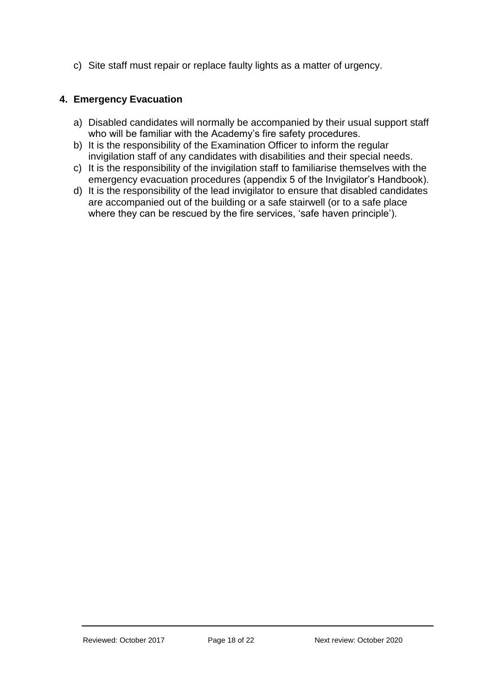c) Site staff must repair or replace faulty lights as a matter of urgency.

# **4. Emergency Evacuation**

- a) Disabled candidates will normally be accompanied by their usual support staff who will be familiar with the Academy's fire safety procedures.
- b) It is the responsibility of the Examination Officer to inform the regular invigilation staff of any candidates with disabilities and their special needs.
- c) It is the responsibility of the invigilation staff to familiarise themselves with the emergency evacuation procedures (appendix 5 of the Invigilator's Handbook).
- d) It is the responsibility of the lead invigilator to ensure that disabled candidates are accompanied out of the building or a safe stairwell (or to a safe place where they can be rescued by the fire services, 'safe haven principle').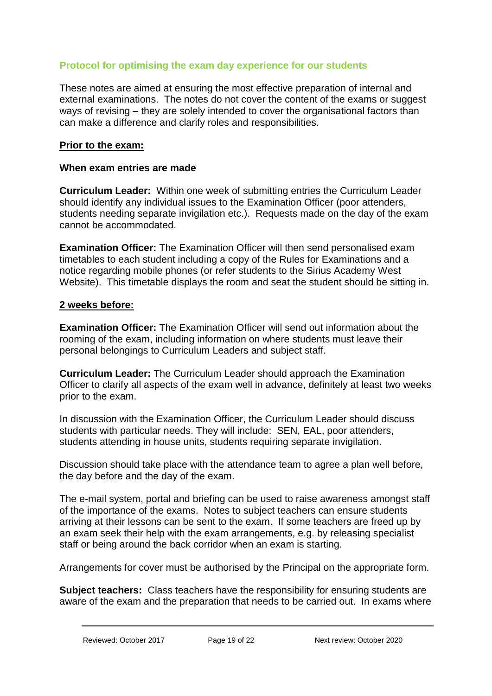# <span id="page-18-0"></span>**Protocol for optimising the exam day experience for our students**

These notes are aimed at ensuring the most effective preparation of internal and external examinations. The notes do not cover the content of the exams or suggest ways of revising – they are solely intended to cover the organisational factors than can make a difference and clarify roles and responsibilities.

## **Prior to the exam:**

#### **When exam entries are made**

**Curriculum Leader:** Within one week of submitting entries the Curriculum Leader should identify any individual issues to the Examination Officer (poor attenders, students needing separate invigilation etc.). Requests made on the day of the exam cannot be accommodated.

**Examination Officer:** The Examination Officer will then send personalised exam timetables to each student including a copy of the Rules for Examinations and a notice regarding mobile phones (or refer students to the Sirius Academy West Website). This timetable displays the room and seat the student should be sitting in.

#### **2 weeks before:**

**Examination Officer:** The Examination Officer will send out information about the rooming of the exam, including information on where students must leave their personal belongings to Curriculum Leaders and subject staff.

**Curriculum Leader:** The Curriculum Leader should approach the Examination Officer to clarify all aspects of the exam well in advance, definitely at least two weeks prior to the exam.

In discussion with the Examination Officer, the Curriculum Leader should discuss students with particular needs. They will include: SEN, EAL, poor attenders, students attending in house units, students requiring separate invigilation.

Discussion should take place with the attendance team to agree a plan well before, the day before and the day of the exam.

The e-mail system, portal and briefing can be used to raise awareness amongst staff of the importance of the exams. Notes to subject teachers can ensure students arriving at their lessons can be sent to the exam. If some teachers are freed up by an exam seek their help with the exam arrangements, e.g. by releasing specialist staff or being around the back corridor when an exam is starting.

Arrangements for cover must be authorised by the Principal on the appropriate form.

**Subject teachers:** Class teachers have the responsibility for ensuring students are aware of the exam and the preparation that needs to be carried out. In exams where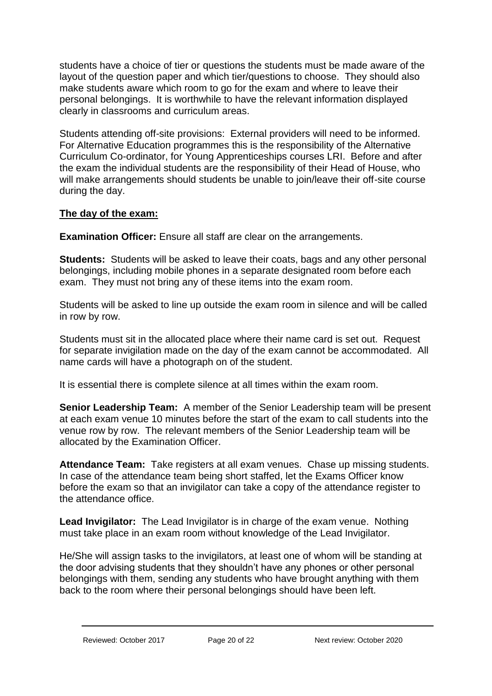students have a choice of tier or questions the students must be made aware of the layout of the question paper and which tier/questions to choose. They should also make students aware which room to go for the exam and where to leave their personal belongings. It is worthwhile to have the relevant information displayed clearly in classrooms and curriculum areas.

Students attending off-site provisions: External providers will need to be informed. For Alternative Education programmes this is the responsibility of the Alternative Curriculum Co-ordinator, for Young Apprenticeships courses LRI. Before and after the exam the individual students are the responsibility of their Head of House, who will make arrangements should students be unable to join/leave their off-site course during the day.

# **The day of the exam:**

**Examination Officer:** Ensure all staff are clear on the arrangements.

**Students:** Students will be asked to leave their coats, bags and any other personal belongings, including mobile phones in a separate designated room before each exam. They must not bring any of these items into the exam room.

Students will be asked to line up outside the exam room in silence and will be called in row by row.

Students must sit in the allocated place where their name card is set out. Request for separate invigilation made on the day of the exam cannot be accommodated. All name cards will have a photograph on of the student.

It is essential there is complete silence at all times within the exam room.

**Senior Leadership Team:** A member of the Senior Leadership team will be present at each exam venue 10 minutes before the start of the exam to call students into the venue row by row. The relevant members of the Senior Leadership team will be allocated by the Examination Officer.

**Attendance Team:** Take registers at all exam venues. Chase up missing students. In case of the attendance team being short staffed, let the Exams Officer know before the exam so that an invigilator can take a copy of the attendance register to the attendance office.

**Lead Invigilator:** The Lead Invigilator is in charge of the exam venue. Nothing must take place in an exam room without knowledge of the Lead Invigilator.

He/She will assign tasks to the invigilators, at least one of whom will be standing at the door advising students that they shouldn't have any phones or other personal belongings with them, sending any students who have brought anything with them back to the room where their personal belongings should have been left.

Reviewed: October 2017 Page 20 of 22 Next review: October 2020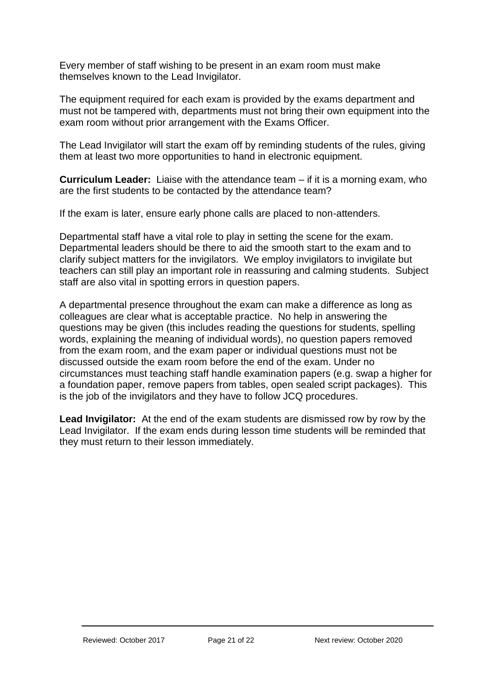Every member of staff wishing to be present in an exam room must make themselves known to the Lead Invigilator.

The equipment required for each exam is provided by the exams department and must not be tampered with, departments must not bring their own equipment into the exam room without prior arrangement with the Exams Officer.

The Lead Invigilator will start the exam off by reminding students of the rules, giving them at least two more opportunities to hand in electronic equipment.

**Curriculum Leader:** Liaise with the attendance team – if it is a morning exam, who are the first students to be contacted by the attendance team?

If the exam is later, ensure early phone calls are placed to non-attenders.

Departmental staff have a vital role to play in setting the scene for the exam. Departmental leaders should be there to aid the smooth start to the exam and to clarify subject matters for the invigilators. We employ invigilators to invigilate but teachers can still play an important role in reassuring and calming students. Subject staff are also vital in spotting errors in question papers.

A departmental presence throughout the exam can make a difference as long as colleagues are clear what is acceptable practice. No help in answering the questions may be given (this includes reading the questions for students, spelling words, explaining the meaning of individual words), no question papers removed from the exam room, and the exam paper or individual questions must not be discussed outside the exam room before the end of the exam. Under no circumstances must teaching staff handle examination papers (e.g. swap a higher for a foundation paper, remove papers from tables, open sealed script packages). This is the job of the invigilators and they have to follow JCQ procedures.

**Lead Invigilator:** At the end of the exam students are dismissed row by row by the Lead Invigilator. If the exam ends during lesson time students will be reminded that they must return to their lesson immediately.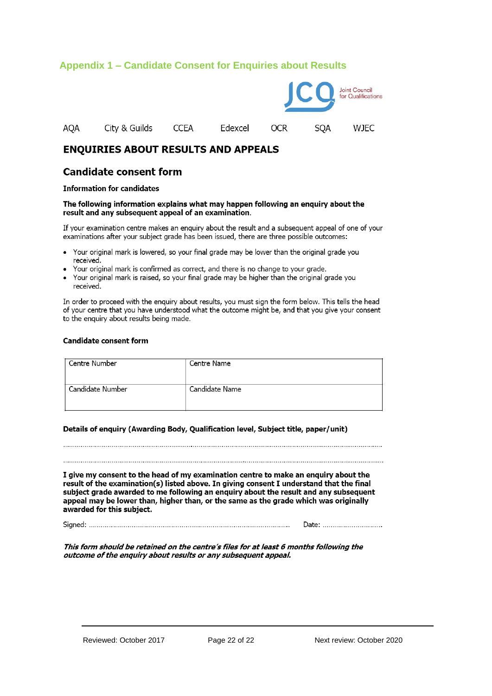# <span id="page-21-0"></span>**Appendix 1 – Candidate Consent for Enquiries about Results**



## **ENQUIRIES ABOUT RESULTS AND APPEALS**

#### **Candidate consent form**

#### **Information for candidates**

#### The following information explains what may happen following an enquiry about the result and any subsequent appeal of an examination.

If your examination centre makes an enguiry about the result and a subsequent appeal of one of your examinations after your subject grade has been issued, there are three possible outcomes:

- Your original mark is lowered, so your final grade may be lower than the original grade you received.
- Your original mark is confirmed as correct, and there is no change to your grade.
- Your original mark is raised, so your final grade may be higher than the original grade you received.

In order to proceed with the enquiry about results, you must sign the form below. This tells the head of your centre that you have understood what the outcome might be, and that you give your consent to the enquiry about results being made.

#### **Candidate consent form**

| Centre Number    | Centre Name    |
|------------------|----------------|
| Candidate Number | Candidate Name |

#### Details of enquiry (Awarding Body, Qualification level, Subject title, paper/unit)

이 사이트 STATE STATE STATE STATE STATE STATE STATE STATE STATE STATE STATE STATE STATE STATE STATE STATE STATE ST

I give my consent to the head of my examination centre to make an enquiry about the result of the examination(s) listed above. In giving consent I understand that the final subject grade awarded to me following an enguiry about the result and any subsequent appeal may be lower than, higher than, or the same as the grade which was originally awarded for this subject.

Date: ...............................

This form should be retained on the centre's files for at least 6 months following the outcome of the enquiry about results or any subsequent appeal.